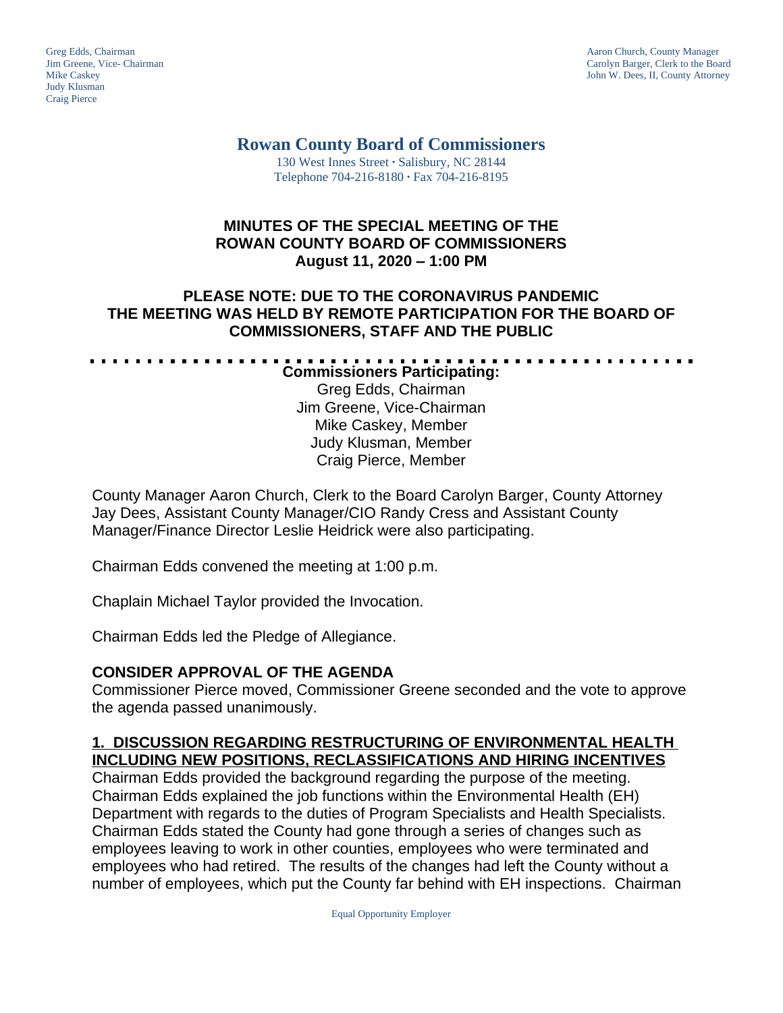Judy Klusman Craig Pierce

Greg Edds, Chairman Aaron Church, County Manager<br>
1989 - Garolyn Barger, Clerk to the Boa<br>
Carolyn Barger, Clerk to the Boa Jim Greene, Vice- Chairman Carolyn Barger, Clerk to the Board John W. Dees, II, County Attorney

#### **Rowan County Board of Commissioners** 130 West Innes Street **∙** Salisbury, NC 28144

Telephone 704-216-8180 **∙** Fax 704-216-8195

## **MINUTES OF THE SPECIAL MEETING OF THE ROWAN COUNTY BOARD OF COMMISSIONERS August 11, 2020 – 1:00 PM**

## **PLEASE NOTE: DUE TO THE CORONAVIRUS PANDEMIC THE MEETING WAS HELD BY REMOTE PARTICIPATION FOR THE BOARD OF COMMISSIONERS, STAFF AND THE PUBLIC**

**Commissioners Participating:** Greg Edds, Chairman Jim Greene, Vice-Chairman Mike Caskey, Member Judy Klusman, Member Craig Pierce, Member

County Manager Aaron Church, Clerk to the Board Carolyn Barger, County Attorney Jay Dees, Assistant County Manager/CIO Randy Cress and Assistant County Manager/Finance Director Leslie Heidrick were also participating.

Chairman Edds convened the meeting at 1:00 p.m.

Chaplain Michael Taylor provided the Invocation.

Chairman Edds led the Pledge of Allegiance.

## **CONSIDER APPROVAL OF THE AGENDA**

Commissioner Pierce moved, Commissioner Greene seconded and the vote to approve the agenda passed unanimously.

# **1. DISCUSSION REGARDING RESTRUCTURING OF ENVIRONMENTAL HEALTH INCLUDING NEW POSITIONS, RECLASSIFICATIONS AND HIRING INCENTIVES**

Chairman Edds provided the background regarding the purpose of the meeting. Chairman Edds explained the job functions within the Environmental Health (EH) Department with regards to the duties of Program Specialists and Health Specialists. Chairman Edds stated the County had gone through a series of changes such as employees leaving to work in other counties, employees who were terminated and employees who had retired. The results of the changes had left the County without a number of employees, which put the County far behind with EH inspections. Chairman

Equal Opportunity Employer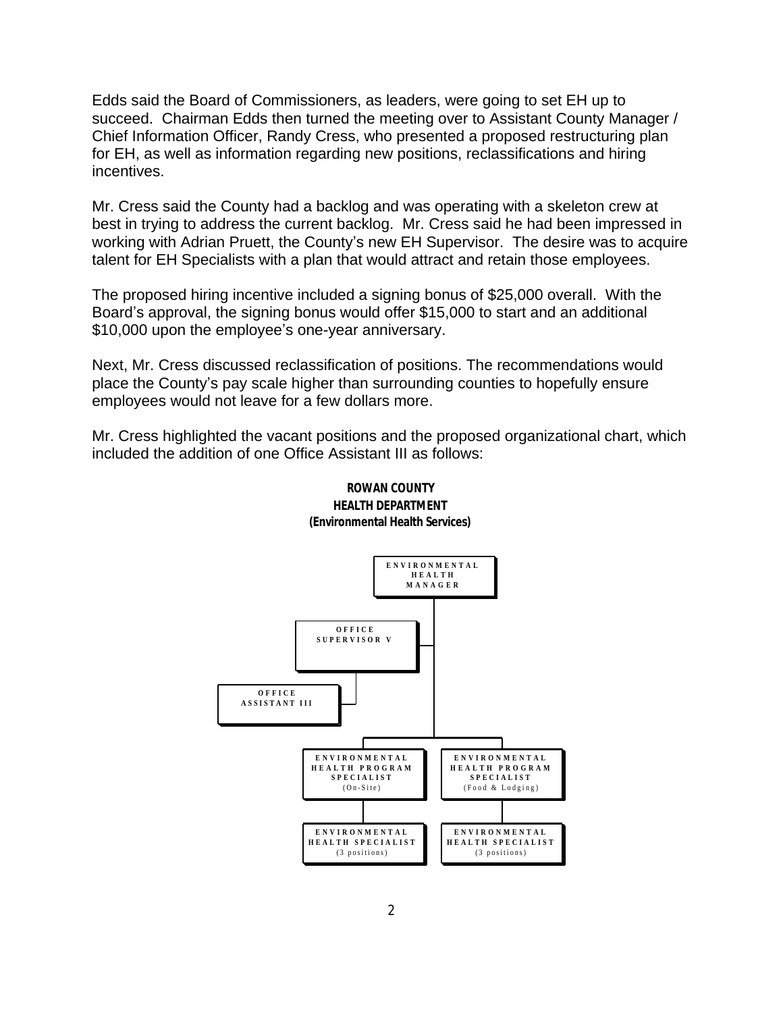Edds said the Board of Commissioners, as leaders, were going to set EH up to succeed. Chairman Edds then turned the meeting over to Assistant County Manager / Chief Information Officer, Randy Cress, who presented a proposed restructuring plan for EH, as well as information regarding new positions, reclassifications and hiring incentives.

Mr. Cress said the County had a backlog and was operating with a skeleton crew at best in trying to address the current backlog. Mr. Cress said he had been impressed in working with Adrian Pruett, the County's new EH Supervisor. The desire was to acquire talent for EH Specialists with a plan that would attract and retain those employees.

The proposed hiring incentive included a signing bonus of \$25,000 overall. With the Board's approval, the signing bonus would offer \$15,000 to start and an additional \$10,000 upon the employee's one-year anniversary.

Next, Mr. Cress discussed reclassification of positions. The recommendations would place the County's pay scale higher than surrounding counties to hopefully ensure employees would not leave for a few dollars more.

Mr. Cress highlighted the vacant positions and the proposed organizational chart, which included the addition of one Office Assistant III as follows:



#### **ROWAN COUNTY HEALTH DEPARTMENT (Environmental Health Services)**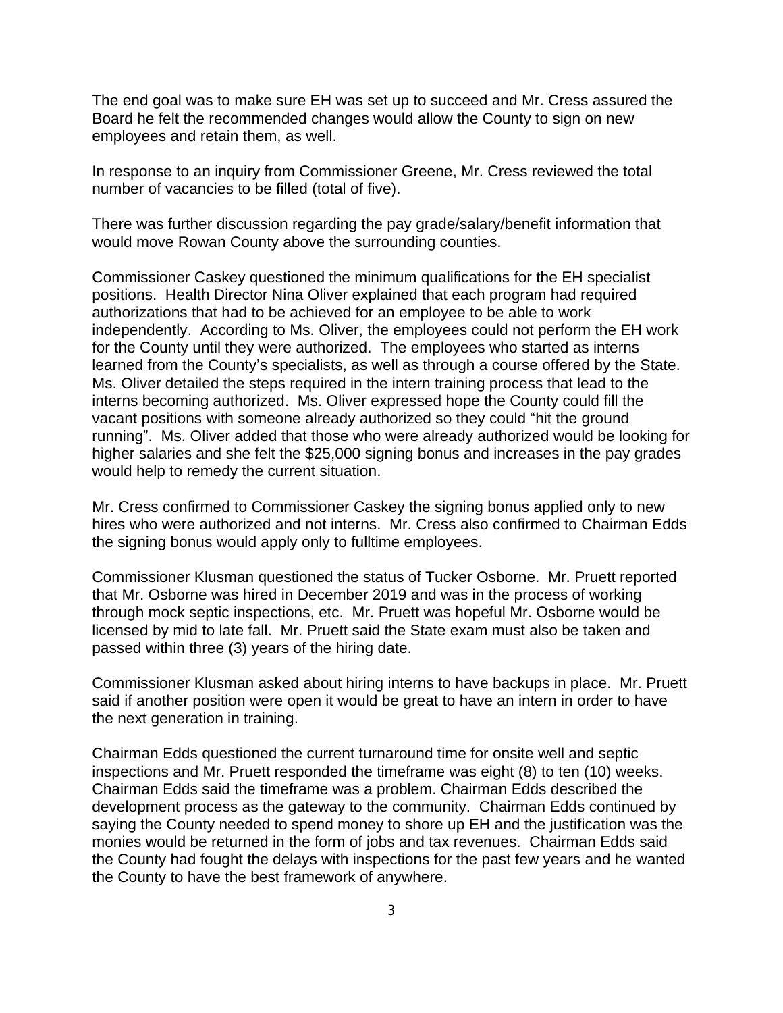The end goal was to make sure EH was set up to succeed and Mr. Cress assured the Board he felt the recommended changes would allow the County to sign on new employees and retain them, as well.

In response to an inquiry from Commissioner Greene, Mr. Cress reviewed the total number of vacancies to be filled (total of five).

There was further discussion regarding the pay grade/salary/benefit information that would move Rowan County above the surrounding counties.

Commissioner Caskey questioned the minimum qualifications for the EH specialist positions. Health Director Nina Oliver explained that each program had required authorizations that had to be achieved for an employee to be able to work independently. According to Ms. Oliver, the employees could not perform the EH work for the County until they were authorized. The employees who started as interns learned from the County's specialists, as well as through a course offered by the State. Ms. Oliver detailed the steps required in the intern training process that lead to the interns becoming authorized. Ms. Oliver expressed hope the County could fill the vacant positions with someone already authorized so they could "hit the ground running". Ms. Oliver added that those who were already authorized would be looking for higher salaries and she felt the \$25,000 signing bonus and increases in the pay grades would help to remedy the current situation.

Mr. Cress confirmed to Commissioner Caskey the signing bonus applied only to new hires who were authorized and not interns. Mr. Cress also confirmed to Chairman Edds the signing bonus would apply only to fulltime employees.

Commissioner Klusman questioned the status of Tucker Osborne. Mr. Pruett reported that Mr. Osborne was hired in December 2019 and was in the process of working through mock septic inspections, etc. Mr. Pruett was hopeful Mr. Osborne would be licensed by mid to late fall. Mr. Pruett said the State exam must also be taken and passed within three (3) years of the hiring date.

Commissioner Klusman asked about hiring interns to have backups in place. Mr. Pruett said if another position were open it would be great to have an intern in order to have the next generation in training.

Chairman Edds questioned the current turnaround time for onsite well and septic inspections and Mr. Pruett responded the timeframe was eight (8) to ten (10) weeks. Chairman Edds said the timeframe was a problem. Chairman Edds described the development process as the gateway to the community. Chairman Edds continued by saying the County needed to spend money to shore up EH and the justification was the monies would be returned in the form of jobs and tax revenues. Chairman Edds said the County had fought the delays with inspections for the past few years and he wanted the County to have the best framework of anywhere.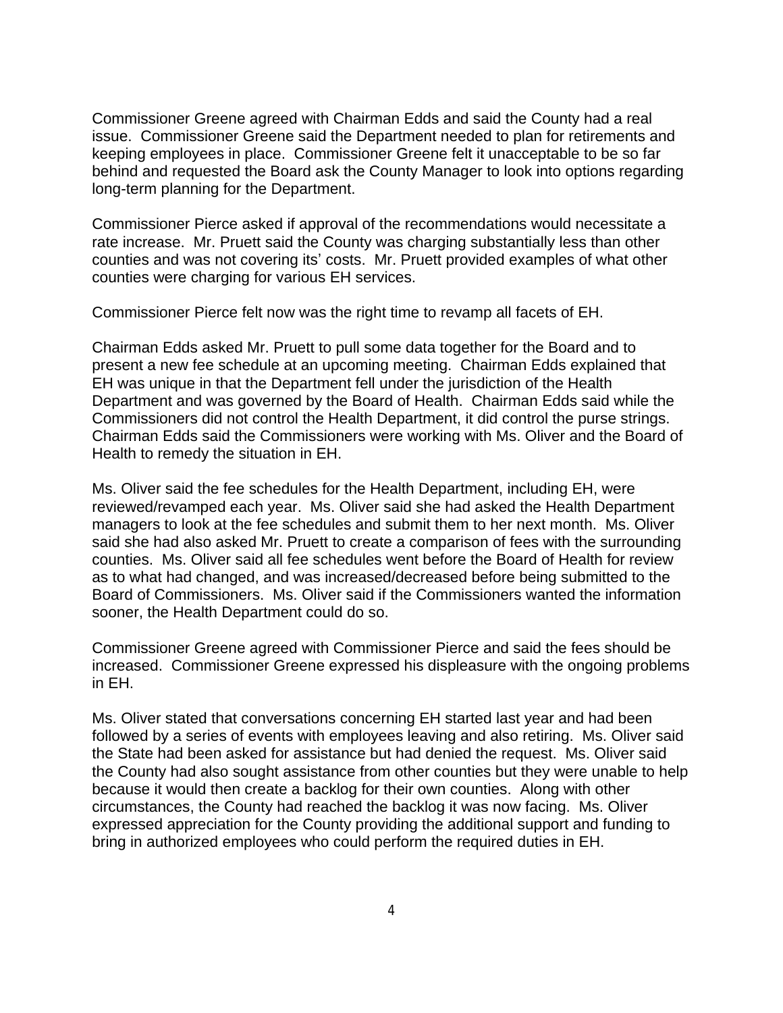Commissioner Greene agreed with Chairman Edds and said the County had a real issue. Commissioner Greene said the Department needed to plan for retirements and keeping employees in place. Commissioner Greene felt it unacceptable to be so far behind and requested the Board ask the County Manager to look into options regarding long-term planning for the Department.

Commissioner Pierce asked if approval of the recommendations would necessitate a rate increase. Mr. Pruett said the County was charging substantially less than other counties and was not covering its' costs. Mr. Pruett provided examples of what other counties were charging for various EH services.

Commissioner Pierce felt now was the right time to revamp all facets of EH.

Chairman Edds asked Mr. Pruett to pull some data together for the Board and to present a new fee schedule at an upcoming meeting. Chairman Edds explained that EH was unique in that the Department fell under the jurisdiction of the Health Department and was governed by the Board of Health. Chairman Edds said while the Commissioners did not control the Health Department, it did control the purse strings. Chairman Edds said the Commissioners were working with Ms. Oliver and the Board of Health to remedy the situation in EH.

Ms. Oliver said the fee schedules for the Health Department, including EH, were reviewed/revamped each year. Ms. Oliver said she had asked the Health Department managers to look at the fee schedules and submit them to her next month. Ms. Oliver said she had also asked Mr. Pruett to create a comparison of fees with the surrounding counties. Ms. Oliver said all fee schedules went before the Board of Health for review as to what had changed, and was increased/decreased before being submitted to the Board of Commissioners. Ms. Oliver said if the Commissioners wanted the information sooner, the Health Department could do so.

Commissioner Greene agreed with Commissioner Pierce and said the fees should be increased. Commissioner Greene expressed his displeasure with the ongoing problems in EH.

Ms. Oliver stated that conversations concerning EH started last year and had been followed by a series of events with employees leaving and also retiring. Ms. Oliver said the State had been asked for assistance but had denied the request. Ms. Oliver said the County had also sought assistance from other counties but they were unable to help because it would then create a backlog for their own counties. Along with other circumstances, the County had reached the backlog it was now facing. Ms. Oliver expressed appreciation for the County providing the additional support and funding to bring in authorized employees who could perform the required duties in EH.